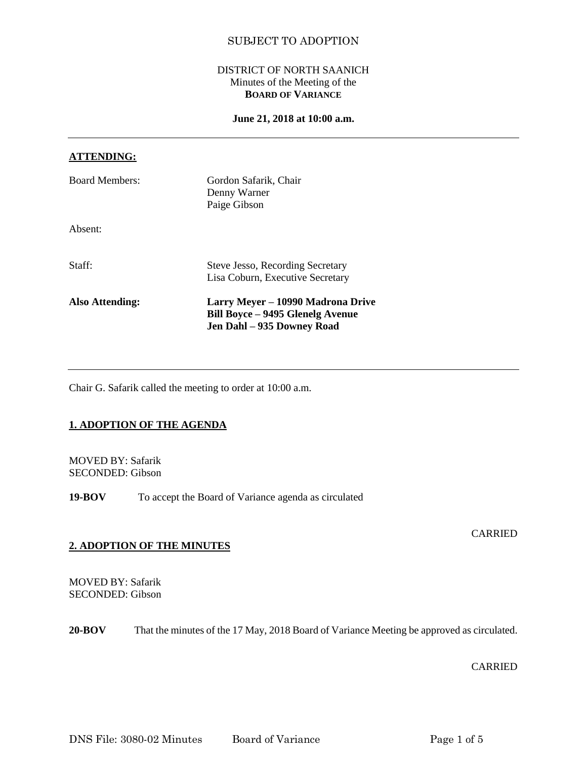## DISTRICT OF NORTH SAANICH Minutes of the Meeting of the **BOARD OF VARIANCE**

#### **June 21, 2018 at 10:00 a.m.**

#### **ATTENDING:**

| <b>Board Members:</b> | Gordon Safarik, Chair<br>Denny Warner<br>Paige Gibson                                                      |
|-----------------------|------------------------------------------------------------------------------------------------------------|
| Absent:               |                                                                                                            |
| Staff:                | <b>Steve Jesso, Recording Secretary</b><br>Lisa Coburn, Executive Secretary                                |
| Also Attending:       | Larry Meyer – 10990 Madrona Drive<br><b>Bill Boyce – 9495 Glenelg Avenue</b><br>Jen Dahl - 935 Downey Road |

Chair G. Safarik called the meeting to order at 10:00 a.m.

## **1. ADOPTION OF THE AGENDA**

MOVED BY: Safarik SECONDED: Gibson

**19-BOV** To accept the Board of Variance agenda as circulated

#### **CARRIED**

#### **2. ADOPTION OF THE MINUTES**

MOVED BY: Safarik SECONDED: Gibson

**20-BOV** That the minutes of the 17 May, 2018 Board of Variance Meeting be approved as circulated.

# CARRIED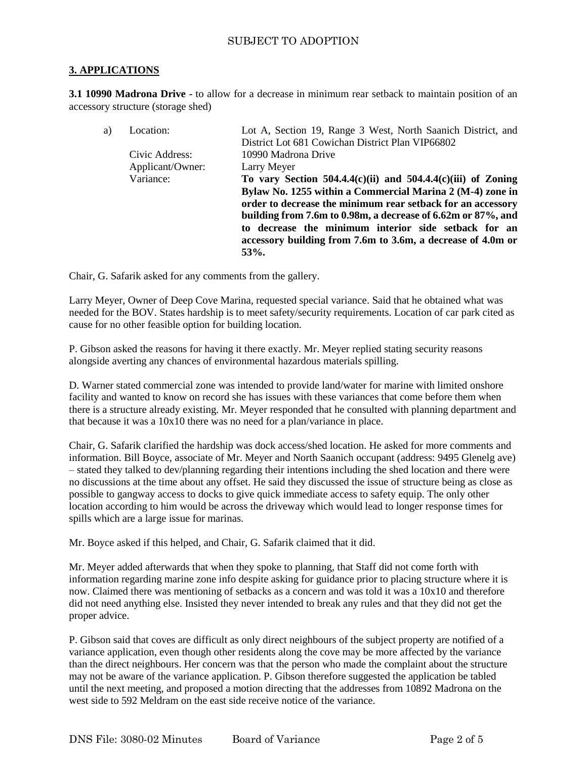## **3. APPLICATIONS**

**3.1 10990 Madrona Drive** - to allow for a decrease in minimum rear setback to maintain position of an accessory structure (storage shed)

| a) | Location:        | Lot A, Section 19, Range 3 West, North Saanich District, and                                                                                                                             |
|----|------------------|------------------------------------------------------------------------------------------------------------------------------------------------------------------------------------------|
|    |                  | District Lot 681 Cowichan District Plan VIP66802                                                                                                                                         |
|    | Civic Address:   | 10990 Madrona Drive                                                                                                                                                                      |
|    | Applicant/Owner: | Larry Meyer                                                                                                                                                                              |
|    | Variance:        | To vary Section 504.4.4(c)(ii) and 504.4.4(c)(iii) of Zoning                                                                                                                             |
|    |                  | Bylaw No. 1255 within a Commercial Marina 2 (M-4) zone in<br>order to decrease the minimum rear setback for an accessory<br>building from 7.6m to 0.98m, a decrease of 6.62m or 87%, and |
|    |                  | to decrease the minimum interior side setback for an<br>accessory building from 7.6m to 3.6m, a decrease of 4.0m or<br>53%.                                                              |

Chair, G. Safarik asked for any comments from the gallery.

Larry Meyer, Owner of Deep Cove Marina, requested special variance. Said that he obtained what was needed for the BOV. States hardship is to meet safety/security requirements. Location of car park cited as cause for no other feasible option for building location.

P. Gibson asked the reasons for having it there exactly. Mr. Meyer replied stating security reasons alongside averting any chances of environmental hazardous materials spilling.

D. Warner stated commercial zone was intended to provide land/water for marine with limited onshore facility and wanted to know on record she has issues with these variances that come before them when there is a structure already existing. Mr. Meyer responded that he consulted with planning department and that because it was a 10x10 there was no need for a plan/variance in place.

Chair, G. Safarik clarified the hardship was dock access/shed location. He asked for more comments and information. Bill Boyce, associate of Mr. Meyer and North Saanich occupant (address: 9495 Glenelg ave) – stated they talked to dev/planning regarding their intentions including the shed location and there were no discussions at the time about any offset. He said they discussed the issue of structure being as close as possible to gangway access to docks to give quick immediate access to safety equip. The only other location according to him would be across the driveway which would lead to longer response times for spills which are a large issue for marinas.

Mr. Boyce asked if this helped, and Chair, G. Safarik claimed that it did.

Mr. Meyer added afterwards that when they spoke to planning, that Staff did not come forth with information regarding marine zone info despite asking for guidance prior to placing structure where it is now. Claimed there was mentioning of setbacks as a concern and was told it was a 10x10 and therefore did not need anything else. Insisted they never intended to break any rules and that they did not get the proper advice.

P. Gibson said that coves are difficult as only direct neighbours of the subject property are notified of a variance application, even though other residents along the cove may be more affected by the variance than the direct neighbours. Her concern was that the person who made the complaint about the structure may not be aware of the variance application. P. Gibson therefore suggested the application be tabled until the next meeting, and proposed a motion directing that the addresses from 10892 Madrona on the west side to 592 Meldram on the east side receive notice of the variance.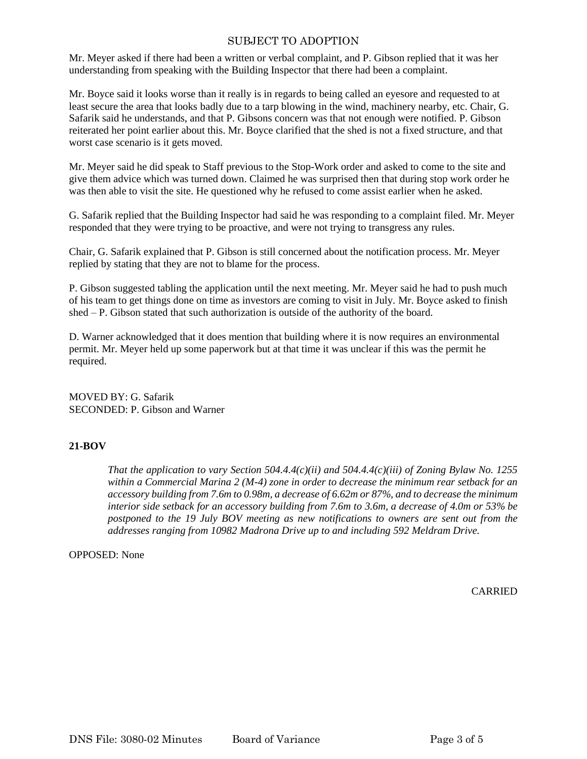Mr. Meyer asked if there had been a written or verbal complaint, and P. Gibson replied that it was her understanding from speaking with the Building Inspector that there had been a complaint.

Mr. Boyce said it looks worse than it really is in regards to being called an eyesore and requested to at least secure the area that looks badly due to a tarp blowing in the wind, machinery nearby, etc. Chair, G. Safarik said he understands, and that P. Gibsons concern was that not enough were notified. P. Gibson reiterated her point earlier about this. Mr. Boyce clarified that the shed is not a fixed structure, and that worst case scenario is it gets moved.

Mr. Meyer said he did speak to Staff previous to the Stop-Work order and asked to come to the site and give them advice which was turned down. Claimed he was surprised then that during stop work order he was then able to visit the site. He questioned why he refused to come assist earlier when he asked.

G. Safarik replied that the Building Inspector had said he was responding to a complaint filed. Mr. Meyer responded that they were trying to be proactive, and were not trying to transgress any rules.

Chair, G. Safarik explained that P. Gibson is still concerned about the notification process. Mr. Meyer replied by stating that they are not to blame for the process.

P. Gibson suggested tabling the application until the next meeting. Mr. Meyer said he had to push much of his team to get things done on time as investors are coming to visit in July. Mr. Boyce asked to finish shed – P. Gibson stated that such authorization is outside of the authority of the board.

D. Warner acknowledged that it does mention that building where it is now requires an environmental permit. Mr. Meyer held up some paperwork but at that time it was unclear if this was the permit he required.

MOVED BY: G. Safarik SECONDED: P. Gibson and Warner

## **21-BOV**

*That the application to vary Section 504.4.4(c)(ii) and 504.4.4(c)(iii) of Zoning Bylaw No. 1255 within a Commercial Marina 2 (M-4) zone in order to decrease the minimum rear setback for an accessory building from 7.6m to 0.98m, a decrease of 6.62m or 87%, and to decrease the minimum interior side setback for an accessory building from 7.6m to 3.6m, a decrease of 4.0m or 53% be postponed to the 19 July BOV meeting as new notifications to owners are sent out from the addresses ranging from 10982 Madrona Drive up to and including 592 Meldram Drive.* 

OPPOSED: None

**CARRIED**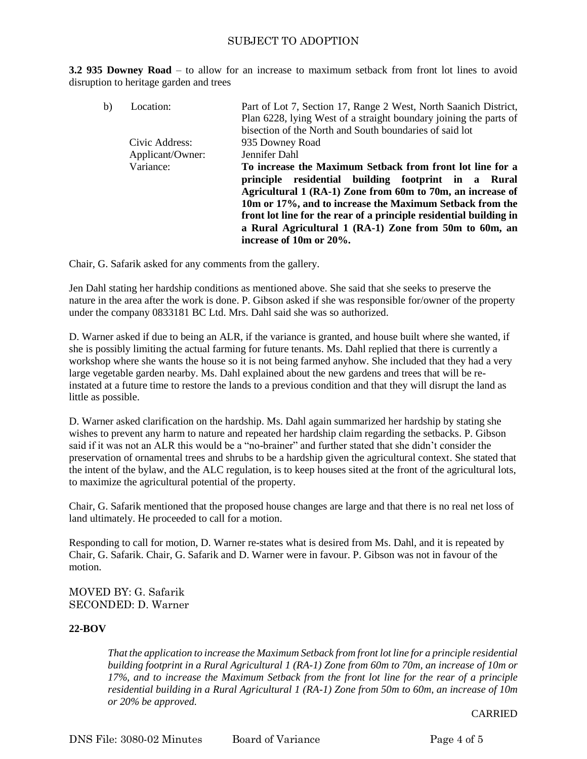**3.2 935 Downey Road** – to allow for an increase to maximum setback from front lot lines to avoid disruption to heritage garden and trees

| b) | Location:        | Part of Lot 7, Section 17, Range 2 West, North Saanich District,<br>Plan 6228, lying West of a straight boundary joining the parts of<br>bisection of the North and South boundaries of said lot                                                                                                                                         |
|----|------------------|------------------------------------------------------------------------------------------------------------------------------------------------------------------------------------------------------------------------------------------------------------------------------------------------------------------------------------------|
|    | Civic Address:   | 935 Downey Road                                                                                                                                                                                                                                                                                                                          |
|    | Applicant/Owner: | Jennifer Dahl                                                                                                                                                                                                                                                                                                                            |
|    | Variance:        | To increase the Maximum Setback from front lot line for a                                                                                                                                                                                                                                                                                |
|    |                  | principle residential building footprint in a Rural<br>Agricultural 1 (RA-1) Zone from 60m to 70m, an increase of<br>10m or 17%, and to increase the Maximum Setback from the<br>front lot line for the rear of a principle residential building in<br>a Rural Agricultural 1 (RA-1) Zone from 50m to 60m, an<br>increase of 10m or 20%. |

Chair, G. Safarik asked for any comments from the gallery.

Jen Dahl stating her hardship conditions as mentioned above. She said that she seeks to preserve the nature in the area after the work is done. P. Gibson asked if she was responsible for/owner of the property under the company 0833181 BC Ltd. Mrs. Dahl said she was so authorized.

D. Warner asked if due to being an ALR, if the variance is granted, and house built where she wanted, if she is possibly limiting the actual farming for future tenants. Ms. Dahl replied that there is currently a workshop where she wants the house so it is not being farmed anyhow. She included that they had a very large vegetable garden nearby. Ms. Dahl explained about the new gardens and trees that will be reinstated at a future time to restore the lands to a previous condition and that they will disrupt the land as little as possible.

D. Warner asked clarification on the hardship. Ms. Dahl again summarized her hardship by stating she wishes to prevent any harm to nature and repeated her hardship claim regarding the setbacks. P. Gibson said if it was not an ALR this would be a "no-brainer" and further stated that she didn't consider the preservation of ornamental trees and shrubs to be a hardship given the agricultural context. She stated that the intent of the bylaw, and the ALC regulation, is to keep houses sited at the front of the agricultural lots, to maximize the agricultural potential of the property.

Chair, G. Safarik mentioned that the proposed house changes are large and that there is no real net loss of land ultimately. He proceeded to call for a motion.

Responding to call for motion, D. Warner re-states what is desired from Ms. Dahl, and it is repeated by Chair, G. Safarik. Chair, G. Safarik and D. Warner were in favour. P. Gibson was not in favour of the motion.

MOVED BY: G. Safarik SECONDED: D. Warner

## **22-BOV**

*That the application to increase the Maximum Setback from front lot line for a principle residential building footprint in a Rural Agricultural 1 (RA-1) Zone from 60m to 70m, an increase of 10m or 17%, and to increase the Maximum Setback from the front lot line for the rear of a principle residential building in a Rural Agricultural 1 (RA-1) Zone from 50m to 60m, an increase of 10m or 20% be approved.*

CARRIED